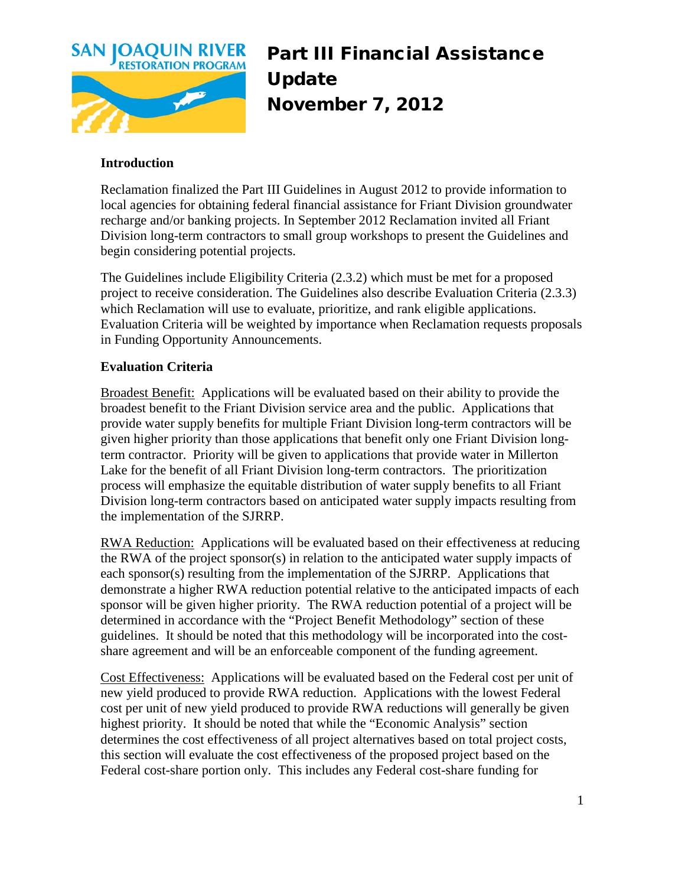

Part III Financial Assistance Update November 7, 2012

## **Introduction**

Reclamation finalized the Part III Guidelines in August 2012 to provide information to local agencies for obtaining federal financial assistance for Friant Division groundwater recharge and/or banking projects. In September 2012 Reclamation invited all Friant Division long-term contractors to small group workshops to present the Guidelines and begin considering potential projects.

The Guidelines include Eligibility Criteria (2.3.2) which must be met for a proposed project to receive consideration. The Guidelines also describe Evaluation Criteria (2.3.3) which Reclamation will use to evaluate, prioritize, and rank eligible applications. Evaluation Criteria will be weighted by importance when Reclamation requests proposals in Funding Opportunity Announcements.

## **Evaluation Criteria**

Broadest Benefit: Applications will be evaluated based on their ability to provide the broadest benefit to the Friant Division service area and the public. Applications that provide water supply benefits for multiple Friant Division long-term contractors will be given higher priority than those applications that benefit only one Friant Division longterm contractor. Priority will be given to applications that provide water in Millerton Lake for the benefit of all Friant Division long-term contractors. The prioritization process will emphasize the equitable distribution of water supply benefits to all Friant Division long-term contractors based on anticipated water supply impacts resulting from the implementation of the SJRRP.

RWA Reduction: Applications will be evaluated based on their effectiveness at reducing the RWA of the project sponsor(s) in relation to the anticipated water supply impacts of each sponsor(s) resulting from the implementation of the SJRRP. Applications that demonstrate a higher RWA reduction potential relative to the anticipated impacts of each sponsor will be given higher priority. The RWA reduction potential of a project will be determined in accordance with the "Project Benefit Methodology" section of these guidelines. It should be noted that this methodology will be incorporated into the costshare agreement and will be an enforceable component of the funding agreement.

Cost Effectiveness: Applications will be evaluated based on the Federal cost per unit of new yield produced to provide RWA reduction. Applications with the lowest Federal cost per unit of new yield produced to provide RWA reductions will generally be given highest priority. It should be noted that while the "Economic Analysis" section determines the cost effectiveness of all project alternatives based on total project costs, this section will evaluate the cost effectiveness of the proposed project based on the Federal cost-share portion only. This includes any Federal cost-share funding for